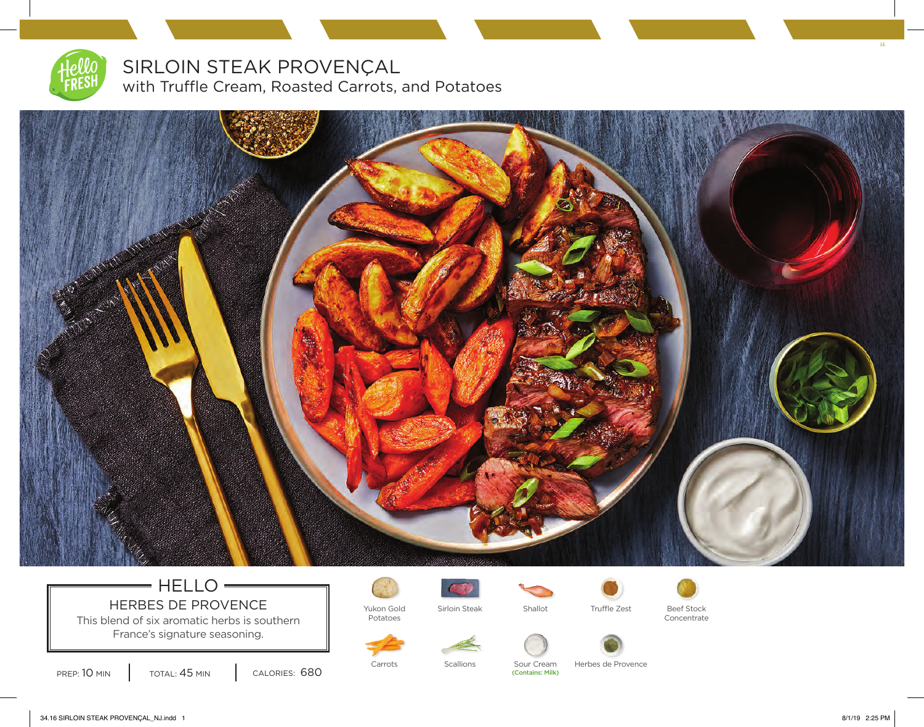

SIRLOIN STEAK PROVENÇAL with Truffle Cream, Roasted Carrots, and Potatoes



## $=$  HELLO $=$ HERBES DE PROVENCE  $\parallel$  Yukon Gold

This blend of six aromatic herbs is southern France's signature seasoning.



Potatoes



Sirloin Steak Shallot Truffle Zest Beef Stock



Concentrate

PREP: 10 MIN | TOTAL: 45 MIN | CALORIES: 680

(Contains: Milk)

Carrots Scallions Sour Cream Herbes de Provence

34.16 SIRLOIN STEAK PROVENÇAL\_NJ.indd 1 8/1/19 2:25 PM

16